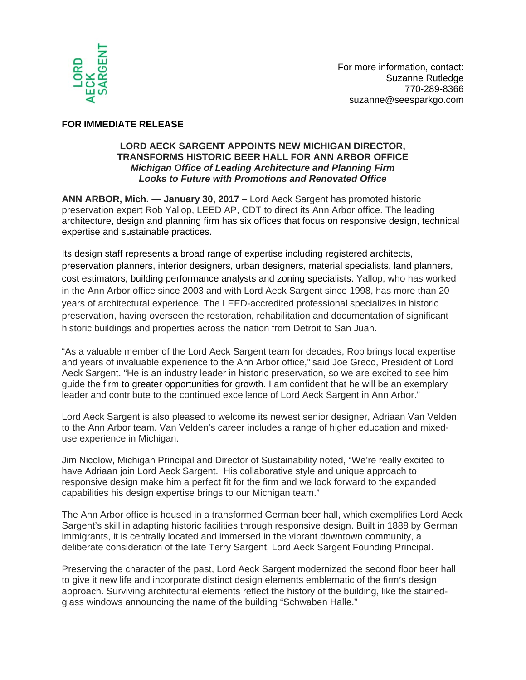

## **FOR IMMEDIATE RELEASE**

## **LORD AECK SARGENT APPOINTS NEW MICHIGAN DIRECTOR, TRANSFORMS HISTORIC BEER HALL FOR ANN ARBOR OFFICE**  *Michigan Office of Leading Architecture and Planning Firm Looks to Future with Promotions and Renovated Office*

**ANN ARBOR, Mich. — January 30, 2017** – Lord Aeck Sargent has promoted historic preservation expert Rob Yallop, LEED AP, CDT to direct its Ann Arbor office. The leading architecture, design and planning firm has six offices that focus on responsive design, technical expertise and sustainable practices.

Its design staff represents a broad range of expertise including registered architects, preservation planners, interior designers, urban designers, material specialists, land planners, cost estimators, building performance analysts and zoning specialists. Yallop, who has worked in the Ann Arbor office since 2003 and with Lord Aeck Sargent since 1998, has more than 20 years of architectural experience. The LEED-accredited professional specializes in historic preservation, having overseen the restoration, rehabilitation and documentation of significant historic buildings and properties across the nation from Detroit to San Juan.

"As a valuable member of the Lord Aeck Sargent team for decades, Rob brings local expertise and years of invaluable experience to the Ann Arbor office," said Joe Greco, President of Lord Aeck Sargent. "He is an industry leader in historic preservation, so we are excited to see him guide the firm to greater opportunities for growth. I am confident that he will be an exemplary leader and contribute to the continued excellence of Lord Aeck Sargent in Ann Arbor."

Lord Aeck Sargent is also pleased to welcome its newest senior designer, Adriaan Van Velden, to the Ann Arbor team. Van Velden's career includes a range of higher education and mixeduse experience in Michigan.

Jim Nicolow, Michigan Principal and Director of Sustainability noted, "We're really excited to have Adriaan join Lord Aeck Sargent. His collaborative style and unique approach to responsive design make him a perfect fit for the firm and we look forward to the expanded capabilities his design expertise brings to our Michigan team."

The Ann Arbor office is housed in a transformed German beer hall, which exemplifies Lord Aeck Sargent's skill in adapting historic facilities through responsive design. Built in 1888 by German immigrants, it is centrally located and immersed in the vibrant downtown community, a deliberate consideration of the late Terry Sargent, Lord Aeck Sargent Founding Principal.

Preserving the character of the past, Lord Aeck Sargent modernized the second floor beer hall to give it new life and incorporate distinct design elements emblematic of the firm's design approach. Surviving architectural elements reflect the history of the building, like the stainedglass windows announcing the name of the building "Schwaben Halle."